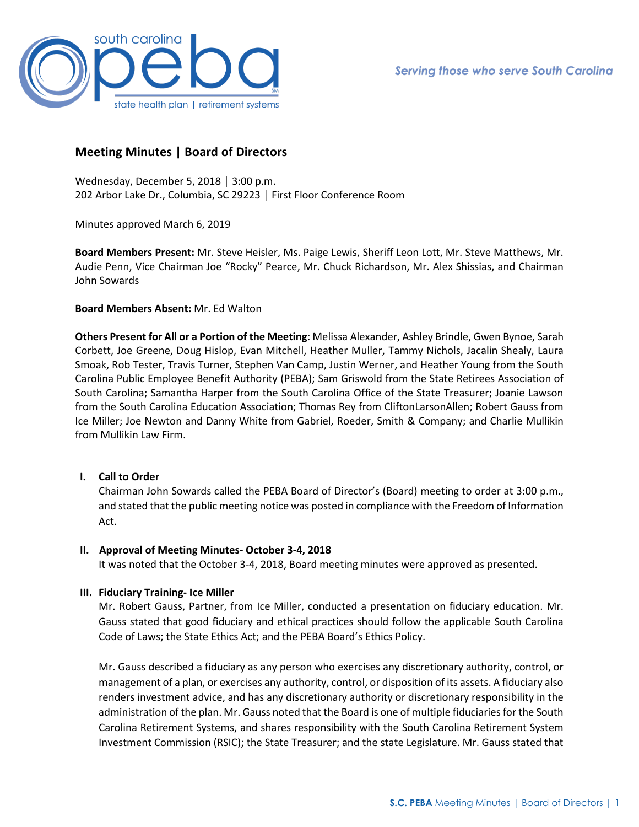

# **Meeting Minutes | Board of Directors**

Wednesday, December 5, 2018 │ 3:00 p.m. 202 Arbor Lake Dr., Columbia, SC 29223 │ First Floor Conference Room

Minutes approved March 6, 2019

**Board Members Present:** Mr. Steve Heisler, Ms. Paige Lewis, Sheriff Leon Lott, Mr. Steve Matthews, Mr. Audie Penn, Vice Chairman Joe "Rocky" Pearce, Mr. Chuck Richardson, Mr. Alex Shissias, and Chairman John Sowards

# **Board Members Absent:** Mr. Ed Walton

**Others Present for All or a Portion of the Meeting**: Melissa Alexander, Ashley Brindle, Gwen Bynoe, Sarah Corbett, Joe Greene, Doug Hislop, Evan Mitchell, Heather Muller, Tammy Nichols, Jacalin Shealy, Laura Smoak, Rob Tester, Travis Turner, Stephen Van Camp, Justin Werner, and Heather Young from the South Carolina Public Employee Benefit Authority (PEBA); Sam Griswold from the State Retirees Association of South Carolina; Samantha Harper from the South Carolina Office of the State Treasurer; Joanie Lawson from the South Carolina Education Association; Thomas Rey from CliftonLarsonAllen; Robert Gauss from Ice Miller; Joe Newton and Danny White from Gabriel, Roeder, Smith & Company; and Charlie Mullikin from Mullikin Law Firm.

# **I. Call to Order**

Chairman John Sowards called the PEBA Board of Director's (Board) meeting to order at 3:00 p.m., and stated that the public meeting notice was posted in compliance with the Freedom of Information Act.

# **II. Approval of Meeting Minutes- October 3-4, 2018**

It was noted that the October 3-4, 2018, Board meeting minutes were approved as presented.

# **III. Fiduciary Training- Ice Miller**

Mr. Robert Gauss, Partner, from Ice Miller, conducted a presentation on fiduciary education. Mr. Gauss stated that good fiduciary and ethical practices should follow the applicable South Carolina Code of Laws; the State Ethics Act; and the PEBA Board's Ethics Policy.

Mr. Gauss described a fiduciary as any person who exercises any discretionary authority, control, or management of a plan, or exercises any authority, control, or disposition of its assets. A fiduciary also renders investment advice, and has any discretionary authority or discretionary responsibility in the administration of the plan. Mr. Gauss noted that the Board is one of multiple fiduciaries for the South Carolina Retirement Systems, and shares responsibility with the South Carolina Retirement System Investment Commission (RSIC); the State Treasurer; and the state Legislature. Mr. Gauss stated that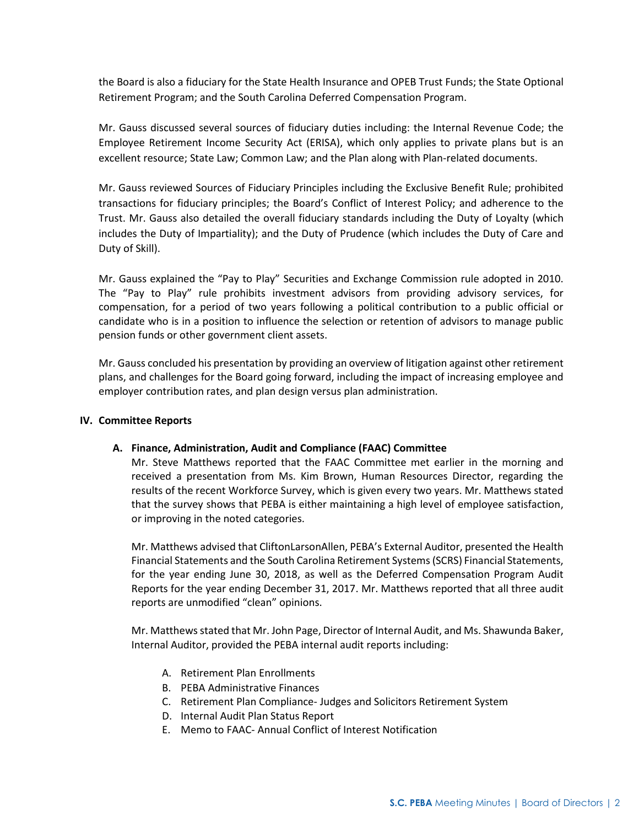the Board is also a fiduciary for the State Health Insurance and OPEB Trust Funds; the State Optional Retirement Program; and the South Carolina Deferred Compensation Program.

Mr. Gauss discussed several sources of fiduciary duties including: the Internal Revenue Code; the Employee Retirement Income Security Act (ERISA), which only applies to private plans but is an excellent resource; State Law; Common Law; and the Plan along with Plan-related documents.

Mr. Gauss reviewed Sources of Fiduciary Principles including the Exclusive Benefit Rule; prohibited transactions for fiduciary principles; the Board's Conflict of Interest Policy; and adherence to the Trust. Mr. Gauss also detailed the overall fiduciary standards including the Duty of Loyalty (which includes the Duty of Impartiality); and the Duty of Prudence (which includes the Duty of Care and Duty of Skill).

Mr. Gauss explained the "Pay to Play" Securities and Exchange Commission rule adopted in 2010. The "Pay to Play" rule prohibits investment advisors from providing advisory services, for compensation, for a period of two years following a political contribution to a public official or candidate who is in a position to influence the selection or retention of advisors to manage public pension funds or other government client assets.

Mr. Gauss concluded his presentation by providing an overview of litigation against other retirement plans, and challenges for the Board going forward, including the impact of increasing employee and employer contribution rates, and plan design versus plan administration.

# **IV. Committee Reports**

# **A. Finance, Administration, Audit and Compliance (FAAC) Committee**

Mr. Steve Matthews reported that the FAAC Committee met earlier in the morning and received a presentation from Ms. Kim Brown, Human Resources Director, regarding the results of the recent Workforce Survey, which is given every two years. Mr. Matthews stated that the survey shows that PEBA is either maintaining a high level of employee satisfaction, or improving in the noted categories.

Mr. Matthews advised that CliftonLarsonAllen, PEBA's External Auditor, presented the Health Financial Statements and the South Carolina Retirement Systems (SCRS) Financial Statements, for the year ending June 30, 2018, as well as the Deferred Compensation Program Audit Reports for the year ending December 31, 2017. Mr. Matthews reported that all three audit reports are unmodified "clean" opinions.

Mr. Matthews stated that Mr. John Page, Director of Internal Audit, and Ms. Shawunda Baker, Internal Auditor, provided the PEBA internal audit reports including:

- A. Retirement Plan Enrollments
- B. PEBA Administrative Finances
- C. Retirement Plan Compliance- Judges and Solicitors Retirement System
- D. Internal Audit Plan Status Report
- E. Memo to FAAC- Annual Conflict of Interest Notification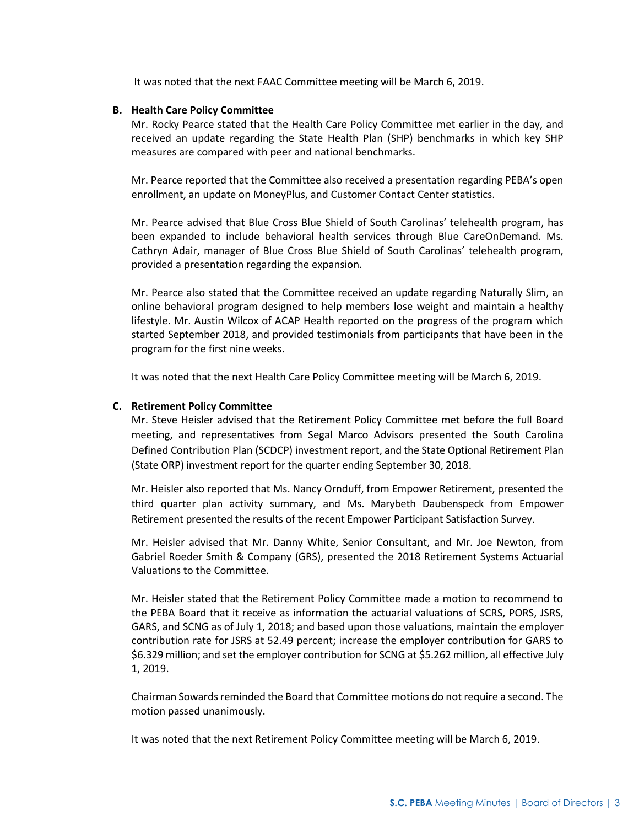It was noted that the next FAAC Committee meeting will be March 6, 2019.

#### **B. Health Care Policy Committee**

Mr. Rocky Pearce stated that the Health Care Policy Committee met earlier in the day, and received an update regarding the State Health Plan (SHP) benchmarks in which key SHP measures are compared with peer and national benchmarks.

Mr. Pearce reported that the Committee also received a presentation regarding PEBA's open enrollment, an update on MoneyPlus, and Customer Contact Center statistics.

Mr. Pearce advised that Blue Cross Blue Shield of South Carolinas' telehealth program, has been expanded to include behavioral health services through Blue CareOnDemand. Ms. Cathryn Adair, manager of Blue Cross Blue Shield of South Carolinas' telehealth program, provided a presentation regarding the expansion.

Mr. Pearce also stated that the Committee received an update regarding Naturally Slim, an online behavioral program designed to help members lose weight and maintain a healthy lifestyle. Mr. Austin Wilcox of ACAP Health reported on the progress of the program which started September 2018, and provided testimonials from participants that have been in the program for the first nine weeks.

It was noted that the next Health Care Policy Committee meeting will be March 6, 2019.

# **C. Retirement Policy Committee**

Mr. Steve Heisler advised that the Retirement Policy Committee met before the full Board meeting, and representatives from Segal Marco Advisors presented the South Carolina Defined Contribution Plan (SCDCP) investment report, and the State Optional Retirement Plan (State ORP) investment report for the quarter ending September 30, 2018.

Mr. Heisler also reported that Ms. Nancy Ornduff, from Empower Retirement, presented the third quarter plan activity summary, and Ms. Marybeth Daubenspeck from Empower Retirement presented the results of the recent Empower Participant Satisfaction Survey.

Mr. Heisler advised that Mr. Danny White, Senior Consultant, and Mr. Joe Newton, from Gabriel Roeder Smith & Company (GRS), presented the 2018 Retirement Systems Actuarial Valuations to the Committee.

Mr. Heisler stated that the Retirement Policy Committee made a motion to recommend to the PEBA Board that it receive as information the actuarial valuations of SCRS, PORS, JSRS, GARS, and SCNG as of July 1, 2018; and based upon those valuations, maintain the employer contribution rate for JSRS at 52.49 percent; increase the employer contribution for GARS to \$6.329 million; and set the employer contribution for SCNG at \$5.262 million, all effective July 1, 2019.

Chairman Sowards reminded the Board that Committee motions do not require a second. The motion passed unanimously.

It was noted that the next Retirement Policy Committee meeting will be March 6, 2019.